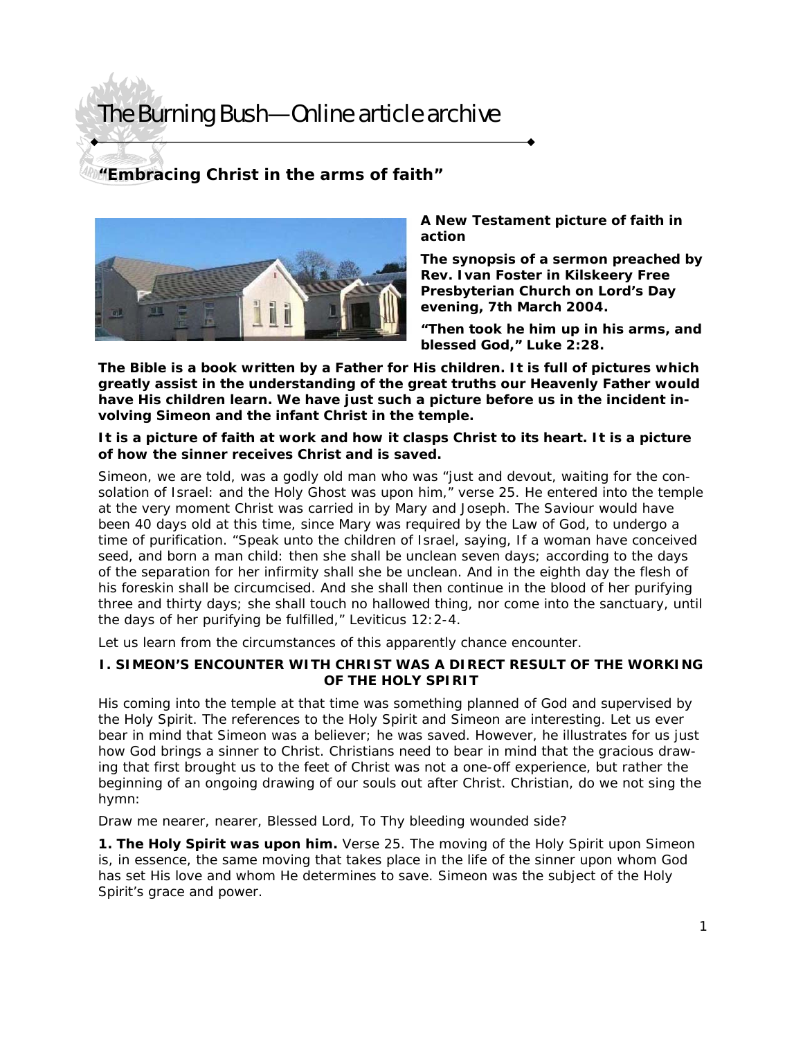### **"Embracing Christ in the arms of faith"**



#### *A New Testament picture of faith in action*

**The synopsis of a sermon preached by Rev. Ivan Foster in Kilskeery Free Presbyterian Church on Lord's Day evening, 7th March 2004.** 

**"Then took he him up in his arms, and blessed God," Luke 2:28.** 

**The Bible is a book written by a Father for His children. It is full of pictures which greatly assist in the understanding of the great truths our Heavenly Father would have His children learn. We have just such a picture before us in the incident involving Simeon and the infant Christ in the temple.** 

#### **It is a picture of faith at work and how it clasps Christ to its heart. It is a picture of how the sinner receives Christ and is saved.**

Simeon, we are told, was a godly old man who was "just and devout, waiting for the consolation of Israel: and the Holy Ghost was upon him," verse 25. He entered into the temple at the very moment Christ was carried in by Mary and Joseph. The Saviour would have been 40 days old at this time, since Mary was required by the Law of God, to undergo a time of purification. "Speak unto the children of Israel, saying, If a woman have conceived seed, and born a man child: then she shall be unclean seven days; according to the days of the separation for her infirmity shall she be unclean. And in the eighth day the flesh of his foreskin shall be circumcised. And she shall then continue in the blood of her purifying three and thirty days; she shall touch no hallowed thing, nor come into the sanctuary, until the days of her purifying be fulfilled," Leviticus 12:2-4.

Let us learn from the circumstances of this apparently chance encounter.

#### **I. SIMEON'S ENCOUNTER WITH CHRIST WAS A DIRECT RESULT OF THE WORKING OF THE HOLY SPIRIT**

His coming into the temple at that time was something planned of God and supervised by the Holy Spirit. The references to the Holy Spirit and Simeon are interesting. Let us ever bear in mind that Simeon was a believer; he was saved. However, he illustrates for us just how God brings a sinner to Christ. Christians need to bear in mind that the gracious drawing that first brought us to the feet of Christ was not a one-off experience, but rather the beginning of an ongoing drawing of our souls out after Christ. Christian, do we not sing the hymn:

#### *Draw me nearer, nearer, Blessed Lord, To Thy bleeding wounded side?*

**1. The Holy Spirit was upon him.** Verse 25. The moving of the Holy Spirit upon Simeon is, in essence, the same moving that takes place in the life of the sinner upon whom God has set His love and whom He determines to save. Simeon was the subject of the Holy Spirit's grace and power.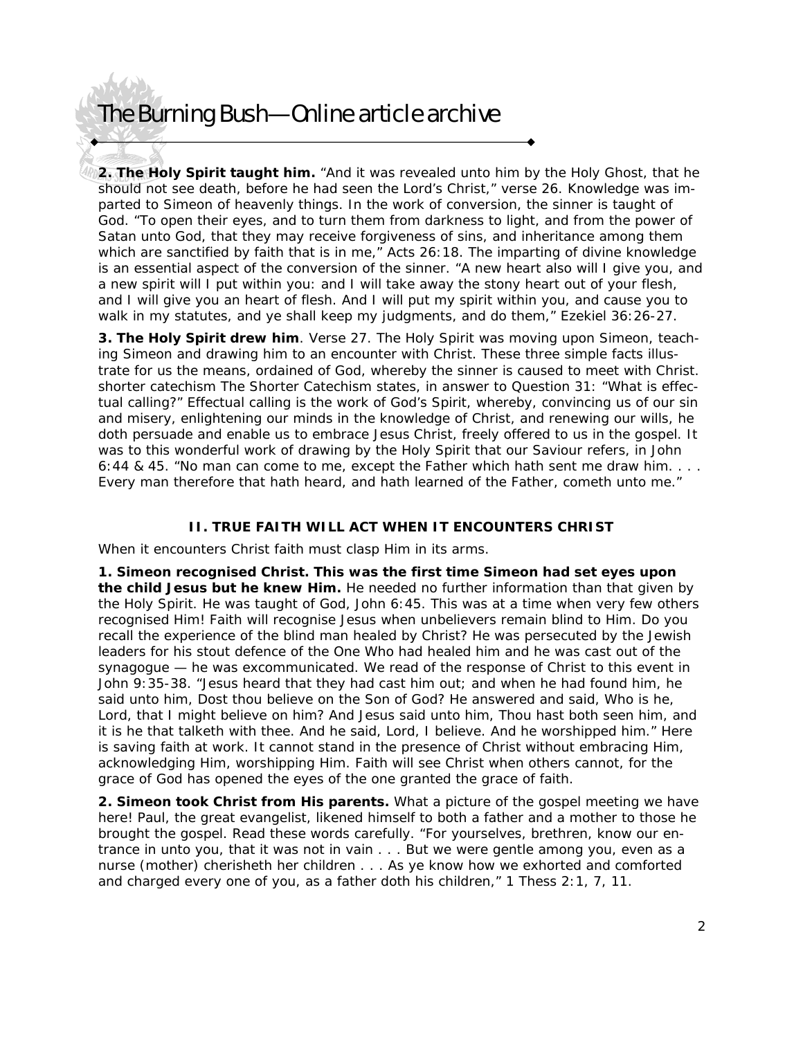**2. The Holy Spirit taught him.** "And it was revealed unto him by the Holy Ghost, that he should not see death, before he had seen the Lord's Christ," verse 26. Knowledge was imparted to Simeon of heavenly things. In the work of conversion, the sinner is taught of God. "To open their eyes, and to turn them from darkness to light, and from the power of Satan unto God, that they may receive forgiveness of sins, and inheritance among them which are sanctified by faith that is in me," Acts 26:18. The imparting of divine knowledge is an essential aspect of the conversion of the sinner. "A new heart also will I give you, and a new spirit will I put within you: and I will take away the stony heart out of your flesh, and I will give you an heart of flesh. And I will put my spirit within you, and cause you to walk in my statutes, and ye shall keep my judgments, and do them," Ezekiel 36:26-27.

**3. The Holy Spirit drew him**. Verse 27. The Holy Spirit was moving upon Simeon, teaching Simeon and drawing him to an encounter with Christ. These three simple facts illustrate for us the means, ordained of God, whereby the sinner is caused to meet with Christ. shorter catechism The Shorter Catechism states, in answer to Question 31: "What is effectual calling?" Effectual calling is the work of God's Spirit, whereby, convincing us of our sin and misery, enlightening our minds in the knowledge of Christ, and renewing our wills, he doth persuade and enable us to embrace Jesus Christ, freely offered to us in the gospel. It was to this wonderful work of drawing by the Holy Spirit that our Saviour refers, in John 6:44 & 45. "No man can come to me, except the Father which hath sent me draw him. . . . Every man therefore that hath heard, and hath learned of the Father, cometh unto me."

#### **II. TRUE FAITH WILL ACT WHEN IT ENCOUNTERS CHRIST**

When it encounters Christ faith must clasp Him in its arms.

**1. Simeon recognised Christ. This was the first time Simeon had set eyes upon the child Jesus but he knew Him.** He needed no further information than that given by the Holy Spirit. He was taught of God, John 6:45. This was at a time when very few others recognised Him! Faith will recognise Jesus when unbelievers remain blind to Him. Do you recall the experience of the blind man healed by Christ? He was persecuted by the Jewish leaders for his stout defence of the One Who had healed him and he was cast out of the synagogue — he was excommunicated. We read of the response of Christ to this event in John 9:35-38. "Jesus heard that they had cast him out; and when he had found him, he said unto him, Dost thou believe on the Son of God? He answered and said, Who is he, Lord, that I might believe on him? And Jesus said unto him, Thou hast both seen him, and it is he that talketh with thee. And he said, Lord, I believe. And he worshipped him." Here is saving faith at work. It cannot stand in the presence of Christ without embracing Him, acknowledging Him, worshipping Him. Faith will see Christ when others cannot, for the grace of God has opened the eyes of the one granted the grace of faith.

**2. Simeon took Christ from His parents.** What a picture of the gospel meeting we have here! Paul, the great evangelist, likened himself to both a father and a mother to those he brought the gospel. Read these words carefully. "For yourselves, brethren, know our entrance in unto you, that it was not in vain . . . But we were gentle among you, even as a nurse (mother) cherisheth her children . . . As ye know how we exhorted and comforted and charged every one of you, as a father doth his children," 1 Thess 2:1, 7, 11.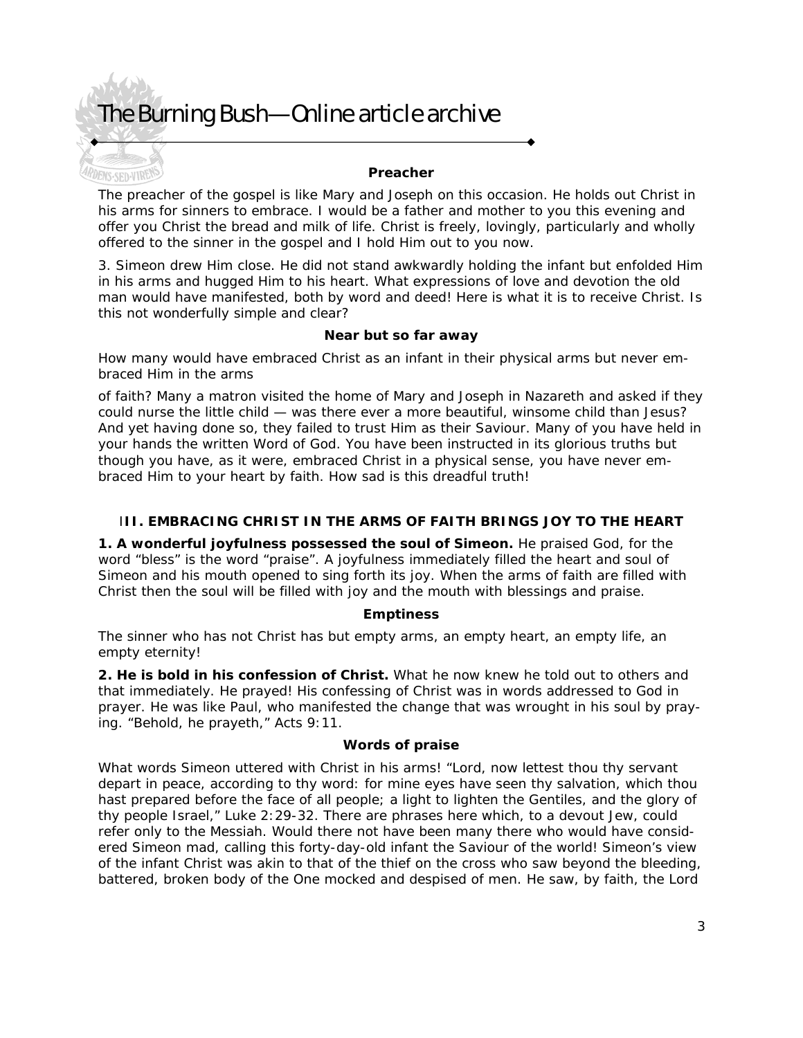ENS-SED-VIRENCE

#### **Preacher**

The preacher of the gospel is like Mary and Joseph on this occasion. He holds out Christ in his arms for sinners to embrace. I would be a father and mother to you this evening and offer you Christ the bread and milk of life. Christ is freely, lovingly, particularly and wholly offered to the sinner in the gospel and I hold Him out to you now.

3. Simeon drew Him close. He did not stand awkwardly holding the infant but enfolded Him in his arms and hugged Him to his heart. What expressions of love and devotion the old man would have manifested, both by word and deed! Here is what it is to receive Christ. Is this not wonderfully simple and clear?

#### **Near but so far away**

How many would have embraced Christ as an infant in their physical arms but never embraced Him in the arms

of faith? Many a matron visited the home of Mary and Joseph in Nazareth and asked if they could nurse the little child — was there ever a more beautiful, winsome child than Jesus? And yet having done so, they failed to trust Him as their Saviour. Many of you have held in your hands the written Word of God. You have been instructed in its glorious truths but though you have, as it were, embraced Christ in a physical sense, you have never embraced Him to your heart by faith. How sad is this dreadful truth!

#### I**II. EMBRACING CHRIST IN THE ARMS OF FAITH BRINGS JOY TO THE HEART**

**1. A wonderful joyfulness possessed the soul of Simeon.** He praised God, for the word "bless" is the word "praise". A joyfulness immediately filled the heart and soul of Simeon and his mouth opened to sing forth its joy. When the arms of faith are filled with Christ then the soul will be filled with joy and the mouth with blessings and praise.

#### **Emptiness**

The sinner who has not Christ has but empty arms, an empty heart, an empty life, an empty eternity!

**2. He is bold in his confession of Christ.** What he now knew he told out to others and that immediately. He prayed! His confessing of Christ was in words addressed to God in prayer. He was like Paul, who manifested the change that was wrought in his soul by praying. "Behold, he prayeth," Acts 9:11.

#### **Words of praise**

What words Simeon uttered with Christ in his arms! "Lord, now lettest thou thy servant depart in peace, according to thy word: for mine eyes have seen thy salvation, which thou hast prepared before the face of all people; a light to lighten the Gentiles, and the glory of thy people Israel," Luke 2:29-32. There are phrases here which, to a devout Jew, could refer only to the Messiah. Would there not have been many there who would have considered Simeon mad, calling this forty-day-old infant the Saviour of the world! Simeon's view of the infant Christ was akin to that of the thief on the cross who saw beyond the bleeding, battered, broken body of the One mocked and despised of men. He saw, by faith, the Lord